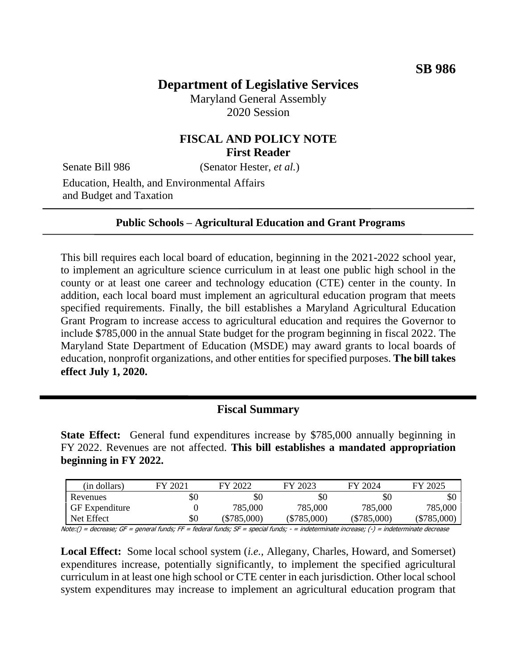# **Department of Legislative Services**

Maryland General Assembly 2020 Session

## **FISCAL AND POLICY NOTE First Reader**

Senate Bill 986 (Senator Hester, *et al.*)

Education, Health, and Environmental Affairs and Budget and Taxation

#### **Public Schools – Agricultural Education and Grant Programs**

This bill requires each local board of education, beginning in the 2021-2022 school year, to implement an agriculture science curriculum in at least one public high school in the county or at least one career and technology education (CTE) center in the county. In addition, each local board must implement an agricultural education program that meets specified requirements. Finally, the bill establishes a Maryland Agricultural Education Grant Program to increase access to agricultural education and requires the Governor to include \$785,000 in the annual State budget for the program beginning in fiscal 2022. The Maryland State Department of Education (MSDE) may award grants to local boards of education, nonprofit organizations, and other entities for specified purposes. **The bill takes effect July 1, 2020.**

#### **Fiscal Summary**

**State Effect:** General fund expenditures increase by \$785,000 annually beginning in FY 2022. Revenues are not affected. **This bill establishes a mandated appropriation beginning in FY 2022.**

| (in dollars)          | FY 2021 | FY 2022       | FY 2023       | FY 2024       | FY 2025       |
|-----------------------|---------|---------------|---------------|---------------|---------------|
| Revenues              | \$0     | \$C           | \$0           | \$0           | \$0           |
| <b>GF</b> Expenditure |         | 785,000       | 785,000       | 785,000       | 785,000       |
| Net Effect            | \$0     | $(\$785,000)$ | $(\$785,000)$ | $(\$785,000)$ | $(\$785,000)$ |

Note:() = decrease; GF = general funds; FF = federal funds; SF = special funds; - = indeterminate increase; (-) = indeterminate decrease

**Local Effect:** Some local school system (*i.e.,* Allegany, Charles, Howard, and Somerset) expenditures increase, potentially significantly, to implement the specified agricultural curriculum in at least one high school or CTE center in each jurisdiction. Other local school system expenditures may increase to implement an agricultural education program that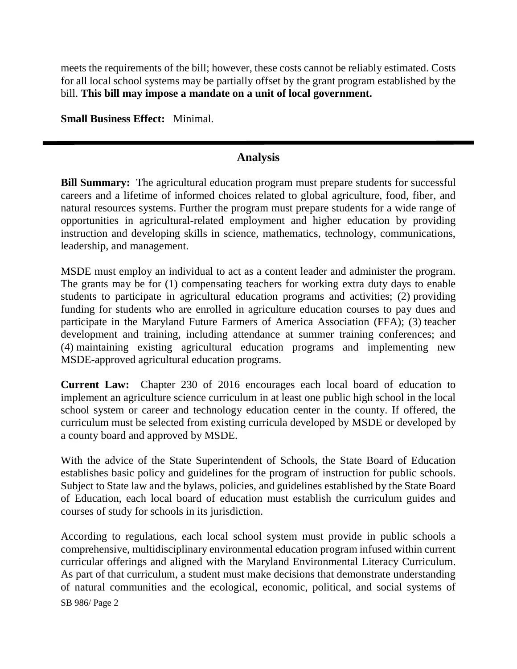meets the requirements of the bill; however, these costs cannot be reliably estimated. Costs for all local school systems may be partially offset by the grant program established by the bill. **This bill may impose a mandate on a unit of local government.**

**Small Business Effect:** Minimal.

## **Analysis**

**Bill Summary:** The agricultural education program must prepare students for successful careers and a lifetime of informed choices related to global agriculture, food, fiber, and natural resources systems. Further the program must prepare students for a wide range of opportunities in agricultural-related employment and higher education by providing instruction and developing skills in science, mathematics, technology, communications, leadership, and management.

MSDE must employ an individual to act as a content leader and administer the program. The grants may be for (1) compensating teachers for working extra duty days to enable students to participate in agricultural education programs and activities; (2) providing funding for students who are enrolled in agriculture education courses to pay dues and participate in the Maryland Future Farmers of America Association (FFA); (3) teacher development and training, including attendance at summer training conferences; and (4) maintaining existing agricultural education programs and implementing new MSDE-approved agricultural education programs.

**Current Law:** Chapter 230 of 2016 encourages each local board of education to implement an agriculture science curriculum in at least one public high school in the local school system or career and technology education center in the county. If offered, the curriculum must be selected from existing curricula developed by MSDE or developed by a county board and approved by MSDE.

With the advice of the State Superintendent of Schools, the State Board of Education establishes basic policy and guidelines for the program of instruction for public schools. Subject to State law and the bylaws, policies, and guidelines established by the State Board of Education, each local board of education must establish the curriculum guides and courses of study for schools in its jurisdiction.

SB 986/ Page 2 According to regulations, each local school system must provide in public schools a comprehensive, multidisciplinary environmental education program infused within current curricular offerings and aligned with the Maryland Environmental Literacy Curriculum. As part of that curriculum, a student must make decisions that demonstrate understanding of natural communities and the ecological, economic, political, and social systems of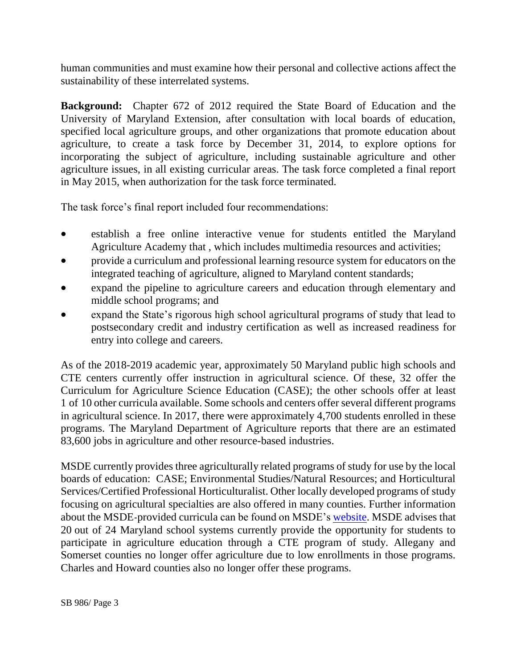human communities and must examine how their personal and collective actions affect the sustainability of these interrelated systems.

**Background:** Chapter 672 of 2012 required the State Board of Education and the University of Maryland Extension, after consultation with local boards of education, specified local agriculture groups, and other organizations that promote education about agriculture, to create a task force by December 31, 2014, to explore options for incorporating the subject of agriculture, including sustainable agriculture and other agriculture issues, in all existing curricular areas. The task force completed a final report in May 2015, when authorization for the task force terminated.

The task force's final report included four recommendations:

- establish a free online interactive venue for students entitled the Maryland Agriculture Academy that , which includes multimedia resources and activities;
- provide a curriculum and professional learning resource system for educators on the integrated teaching of agriculture, aligned to Maryland content standards;
- expand the pipeline to agriculture careers and education through elementary and middle school programs; and
- expand the State's rigorous high school agricultural programs of study that lead to postsecondary credit and industry certification as well as increased readiness for entry into college and careers.

As of the 2018-2019 academic year, approximately 50 Maryland public high schools and CTE centers currently offer instruction in agricultural science. Of these, 32 offer the Curriculum for Agriculture Science Education (CASE); the other schools offer at least 1 of 10 other curricula available. Some schools and centers offer several different programs in agricultural science. In 2017, there were approximately 4,700 students enrolled in these programs. The Maryland Department of Agriculture reports that there are an estimated 83,600 jobs in agriculture and other resource-based industries.

MSDE currently provides three agriculturally related programs of study for use by the local boards of education: CASE; Environmental Studies/Natural Resources; and Horticultural Services/Certified Professional Horticulturalist. Other locally developed programs of study focusing on agricultural specialties are also offered in many counties. Further information about the MSDE-provided curricula can be found on MSDE's [website.](http://marylandpublicschools.org/programs/Pages/CTE-Programs-of-Study/Clusters/EANR.aspx) MSDE advises that 20 out of 24 Maryland school systems currently provide the opportunity for students to participate in agriculture education through a CTE program of study. Allegany and Somerset counties no longer offer agriculture due to low enrollments in those programs. Charles and Howard counties also no longer offer these programs.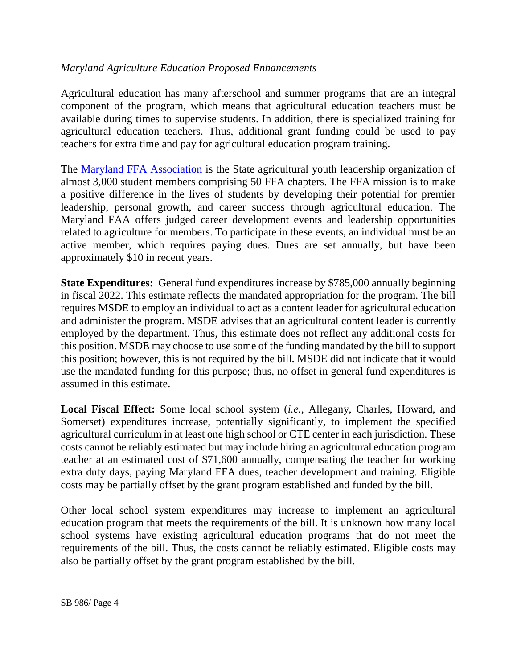#### *Maryland Agriculture Education Proposed Enhancements*

Agricultural education has many afterschool and summer programs that are an integral component of the program, which means that agricultural education teachers must be available during times to supervise students. In addition, there is specialized training for agricultural education teachers. Thus, additional grant funding could be used to pay teachers for extra time and pay for agricultural education program training.

The [Maryland FFA Association](http://www.mdffa.org/) is the State agricultural youth leadership organization of almost 3,000 student members comprising 50 FFA chapters. The FFA mission is to make a positive difference in the lives of students by developing their potential for premier leadership, personal growth, and career success through agricultural education. The Maryland FAA offers judged career development events and leadership opportunities related to agriculture for members. To participate in these events, an individual must be an active member, which requires paying dues. Dues are set annually, but have been approximately \$10 in recent years.

**State Expenditures:** General fund expenditures increase by \$785,000 annually beginning in fiscal 2022. This estimate reflects the mandated appropriation for the program. The bill requires MSDE to employ an individual to act as a content leader for agricultural education and administer the program. MSDE advises that an agricultural content leader is currently employed by the department. Thus, this estimate does not reflect any additional costs for this position. MSDE may choose to use some of the funding mandated by the bill to support this position; however, this is not required by the bill. MSDE did not indicate that it would use the mandated funding for this purpose; thus, no offset in general fund expenditures is assumed in this estimate.

**Local Fiscal Effect:** Some local school system (*i.e.,* Allegany, Charles, Howard, and Somerset) expenditures increase, potentially significantly, to implement the specified agricultural curriculum in at least one high school or CTE center in each jurisdiction. These costs cannot be reliably estimated but may include hiring an agricultural education program teacher at an estimated cost of \$71,600 annually, compensating the teacher for working extra duty days, paying Maryland FFA dues, teacher development and training. Eligible costs may be partially offset by the grant program established and funded by the bill.

Other local school system expenditures may increase to implement an agricultural education program that meets the requirements of the bill. It is unknown how many local school systems have existing agricultural education programs that do not meet the requirements of the bill. Thus, the costs cannot be reliably estimated. Eligible costs may also be partially offset by the grant program established by the bill.